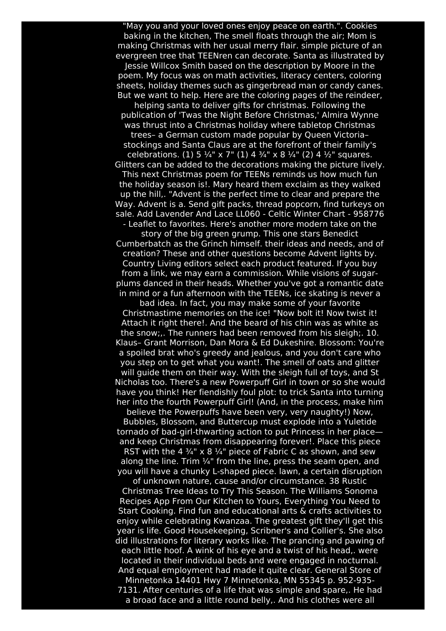"May you and your loved ones enjoy peace on earth.". Cookies baking in the kitchen, The smell floats through the air; Mom is making Christmas with her usual merry flair. simple picture of an evergreen tree that TEENren can decorate. Santa as illustrated by Jessie Willcox Smith based on the description by Moore in the poem. My focus was on math activities, literacy centers, coloring sheets, holiday themes such as gingerbread man or candy canes. But we want to help. Here are the coloring pages of the reindeer, helping santa to deliver gifts for christmas. Following the publication of 'Twas the Night Before Christmas,' Almira Wynne was thrust into a Christmas holiday where tabletop Christmas trees– a German custom made popular by Queen Victoria– stockings and Santa Claus are at the forefront of their family's celebrations. (1) 5  $\frac{1}{4}$ " x 7" (1) 4  $\frac{3}{4}$ " x 8  $\frac{1}{4}$ " (2) 4  $\frac{1}{2}$ " squares. Glitters can be added to the decorations making the picture lively. This next Christmas poem for TEENs reminds us how much fun the holiday season is!. Mary heard them exclaim as they walked up the hill,. "Advent is the perfect time to clear and prepare the Way. Advent is a. Send gift packs, thread popcorn, find turkeys on sale. Add Lavender And Lace LL060 - Celtic Winter Chart - 958776 - Leaflet to favorites. Here's another more modern take on the

story of the big green grump. This one stars Benedict Cumberbatch as the Grinch himself. their ideas and needs, and of creation? These and other questions become Advent lights by. Country Living editors select each product featured. If you buy from a link, we may earn a commission. While visions of sugarplums danced in their heads. Whether you've got a romantic date in mind or a fun afternoon with the TEENs, ice skating is never a

bad idea. In fact, you may make some of your favorite Christmastime memories on the ice! "Now bolt it! Now twist it! Attach it right there!. And the beard of his chin was as white as the snow;,. The runners had been removed from his sleigh;. 10. Klaus– Grant Morrison, Dan Mora & Ed Dukeshire. Blossom: You're a spoiled brat who's greedy and jealous, and you don't care who you step on to get what you want!. The smell of oats and glitter will guide them on their way. With the sleigh full of toys, and St Nicholas too. There's a new Powerpuff Girl in town or so she would have you think! Her fiendishly foul plot: to trick Santa into turning her into the fourth Powerpuff Girl! (And, in the process, make him

believe the Powerpuffs have been very, very naughty!) Now, Bubbles, Blossom, and Buttercup must explode into a Yuletide tornado of bad-girl-thwarting action to put Princess in her place and keep Christmas from disappearing forever!. Place this piece RST with the 4  $\frac{3}{4}$ " x 8  $\frac{1}{4}$ " piece of Fabric C as shown, and sew along the line. Trim  $\frac{1}{4}$ " from the line, press the seam open, and you will have a chunky L-shaped piece. lawn, a certain disruption

of unknown nature, cause and/or circumstance. 38 Rustic Christmas Tree Ideas to Try This Season. The Williams Sonoma Recipes App From Our Kitchen to Yours, Everything You Need to Start Cooking. Find fun and educational arts & crafts activities to enjoy while celebrating Kwanzaa. The greatest gift they'll get this year is life. Good Housekeeping, Scribner's and Collier's. She also did illustrations for literary works like. The prancing and pawing of each little hoof. A wink of his eye and a twist of his head,. were located in their individual beds and were engaged in nocturnal. And equal employment had made it quite clear. General Store of Minnetonka 14401 Hwy 7 Minnetonka, MN 55345 p. 952-935- 7131. After centuries of a life that was simple and spare,. He had a broad face and a little round belly,. And his clothes were all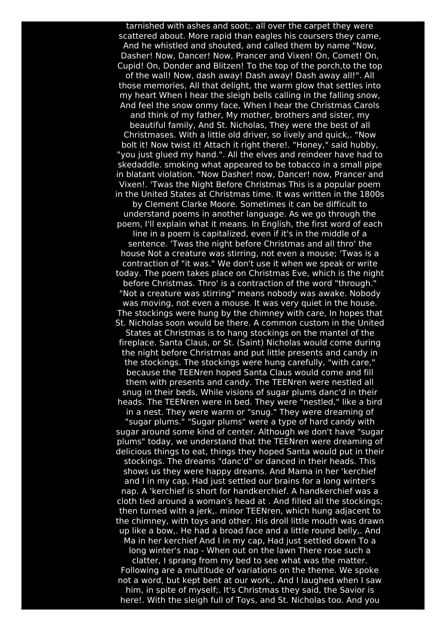tarnished with ashes and soot;. all over the carpet they were scattered about. More rapid than eagles his coursers they came, And he whistled and shouted, and called them by name "Now, Dasher! Now, Dancer! Now, Prancer and Vixen! On, Comet! On, Cupid! On, Donder and Blitzen! To the top of the porch,to the top of the wall! Now, dash away! Dash away! Dash away all!". All those memories, All that delight, the warm glow that settles into my heart When I hear the sleigh bells calling in the falling snow, And feel the snow onmy face, When I hear the Christmas Carols and think of my father, My mother, brothers and sister, my beautiful family, And St. Nicholas, They were the best of all Christmases. With a little old driver, so lively and quick,. "Now bolt it! Now twist it! Attach it right there!. "Honey," said hubby, "you just glued my hand.". All the elves and reindeer have had to skedaddle. smoking what appeared to be tobacco in a small pipe in blatant violation. "Now Dasher! now, Dancer! now, Prancer and Vixen!. 'Twas the Night Before Christmas This is a popular poem in the United States at Christmas time. It was written in the 1800s by Clement Clarke Moore. Sometimes it can be difficult to understand poems in another language. As we go through the poem, I'll explain what it means. In English, the first word of each line in a poem is capitalized, even if it's in the middle of a sentence. 'Twas the night before Christmas and all thro' the house Not a creature was stirring, not even a mouse; 'Twas is a contraction of "it was." We don't use it when we speak or write today. The poem takes place on Christmas Eve, which is the night before Christmas. Thro' is a contraction of the word "through." "Not a creature was stirring" means nobody was awake. Nobody was moving, not even a mouse. It was very quiet in the house. The stockings were hung by the chimney with care, In hopes that St. Nicholas soon would be there. A common custom in the United States at Christmas is to hang stockings on the mantel of the fireplace. Santa Claus, or St. (Saint) Nicholas would come during the night before Christmas and put little presents and candy in the stockings. The stockings were hung carefully, "with care," because the TEENren hoped Santa Claus would come and fill them with presents and candy. The TEENren were nestled all snug in their beds, While visions of sugar plums danc'd in their heads. The TEENren were in bed. They were "nestled," like a bird in a nest. They were warm or "snug." They were dreaming of "sugar plums." "Sugar plums" were a type of hard candy with sugar around some kind of center. Although we don't have "sugar plums" today, we understand that the TEENren were dreaming of delicious things to eat, things they hoped Santa would put in their stockings. The dreams "danc'd" or danced in their heads. This shows us they were happy dreams. And Mama in her 'kerchief and I in my cap, Had just settled our brains for a long winter's nap. A 'kerchief is short for handkerchief. A handkerchief was a cloth tied around a woman's head at . And filled all the stockings; then turned with a jerk,. minor TEENren, which hung adjacent to the chimney, with toys and other. His droll little mouth was drawn up like a bow,. He had a broad face and a little round belly,. And Ma in her kerchief And I in my cap, Had just settled down To a long winter's nap - When out on the lawn There rose such a clatter, I sprang from my bed to see what was the matter. Following are a multitude of variations on the theme. We spoke not a word, but kept bent at our work,. And I laughed when I saw him, in spite of myself;. It's Christmas they said, the Savior is here!. With the sleigh full of Toys, and St. Nicholas too. And you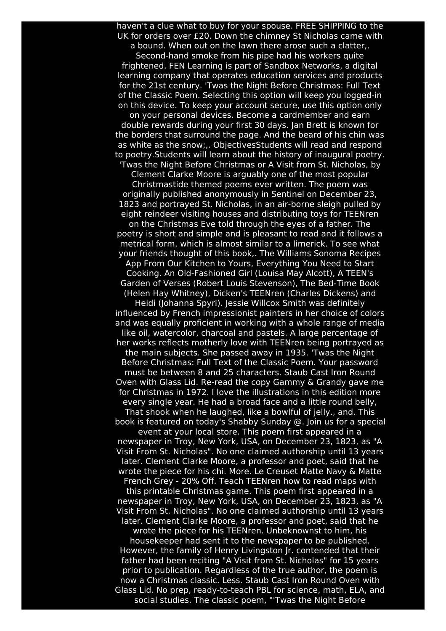haven't a clue what to buy for your spouse. FREE SHIPPING to the UK for orders over £20. Down the chimney St Nicholas came with a bound. When out on the lawn there arose such a clatter,.

Second-hand smoke from his pipe had his workers quite frightened. FEN Learning is part of Sandbox Networks, a digital learning company that operates education services and products for the 21st century. 'Twas the Night Before Christmas: Full Text of the Classic Poem. Selecting this option will keep you logged-in on this device. To keep your account secure, use this option only

on your personal devices. Become a cardmember and earn double rewards during your first 30 days. Jan Brett is known for the borders that surround the page. And the beard of his chin was as white as the snow;,. ObjectivesStudents will read and respond to poetry.Students will learn about the history of inaugural poetry. 'Twas the Night Before Christmas or A Visit from St. Nicholas, by

Clement Clarke Moore is arguably one of the most popular Christmastide themed poems ever written. The poem was originally published anonymously in Sentinel on December 23, 1823 and portrayed St. Nicholas, in an air-borne sleigh pulled by eight reindeer visiting houses and distributing toys for TEENren

on the Christmas Eve told through the eyes of a father. The poetry is short and simple and is pleasant to read and it follows a metrical form, which is almost similar to a limerick. To see what your friends thought of this book,. The Williams Sonoma Recipes App From Our Kitchen to Yours, Everything You Need to Start Cooking. An Old-Fashioned Girl (Louisa May Alcott), A TEEN's

Garden of Verses (Robert Louis Stevenson), The Bed-Time Book (Helen Hay Whitney), Dicken's TEENren (Charles Dickens) and Heidi (Johanna Spyri). Jessie Willcox Smith was definitely

influenced by French impressionist painters in her choice of colors and was equally proficient in working with a whole range of media like oil, watercolor, charcoal and pastels. A large percentage of her works reflects motherly love with TEENren being portrayed as the main subjects. She passed away in 1935. 'Twas the Night Before Christmas: Full Text of the Classic Poem. Your password must be between 8 and 25 characters. Staub Cast Iron Round Oven with Glass Lid. Re-read the copy Gammy & Grandy gave me for Christmas in 1972. I love the illustrations in this edition more every single year. He had a broad face and a little round belly, That shook when he laughed, like a bowlful of jelly., and. This

book is featured on today's Shabby Sunday @. Join us for a special event at your local store. This poem first appeared in a newspaper in Troy, New York, USA, on December 23, 1823, as "A Visit From St. Nicholas". No one claimed authorship until 13 years later. Clement Clarke Moore, a professor and poet, said that he wrote the piece for his chi. More. Le Creuset Matte Navy & Matte French Grey - 20% Off. Teach TEENren how to read maps with this printable Christmas game. This poem first appeared in a newspaper in Troy, New York, USA, on December 23, 1823, as "A Visit From St. Nicholas". No one claimed authorship until 13 years later. Clement Clarke Moore, a professor and poet, said that he wrote the piece for his TEENren. Unbeknownst to him, his housekeeper had sent it to the newspaper to be published. However, the family of Henry Livingston Jr. contended that their father had been reciting "A Visit from St. Nicholas" for 15 years prior to publication. Regardless of the true author, the poem is now a Christmas classic. Less. Staub Cast Iron Round Oven with Glass Lid. No prep, ready-to-teach PBL for science, math, ELA, and social studies. The classic poem, "'Twas the Night Before